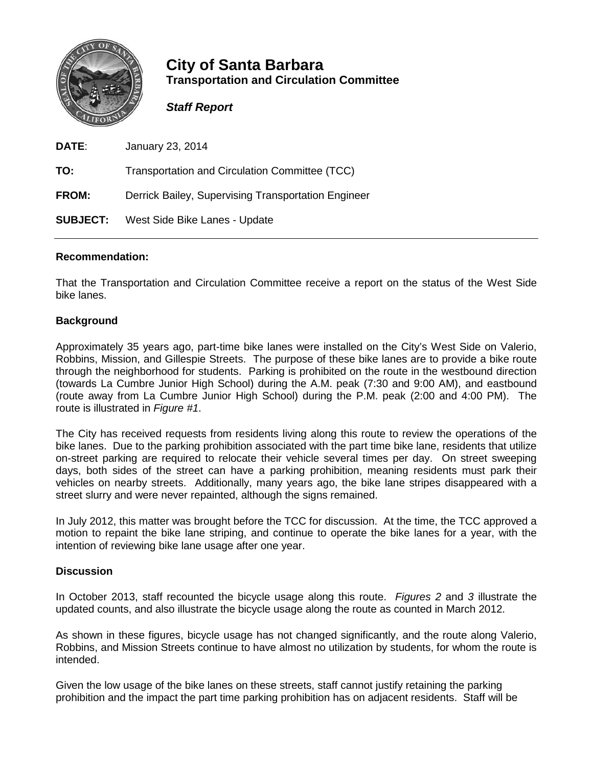

# **City of Santa Barbara Transportation and Circulation Committee**

## *Staff Report*

| <b>DATE:</b>    | January 23, 2014                                    |
|-----------------|-----------------------------------------------------|
| TO:             | Transportation and Circulation Committee (TCC)      |
| <b>FROM:</b>    | Derrick Bailey, Supervising Transportation Engineer |
| <b>SUBJECT:</b> | West Side Bike Lanes - Update                       |

### **Recommendation:**

That the Transportation and Circulation Committee receive a report on the status of the West Side bike lanes.

### **Background**

Approximately 35 years ago, part-time bike lanes were installed on the City's West Side on Valerio, Robbins, Mission, and Gillespie Streets. The purpose of these bike lanes are to provide a bike route through the neighborhood for students. Parking is prohibited on the route in the westbound direction (towards La Cumbre Junior High School) during the A.M. peak (7:30 and 9:00 AM), and eastbound (route away from La Cumbre Junior High School) during the P.M. peak (2:00 and 4:00 PM). The route is illustrated in *Figure #1*.

The City has received requests from residents living along this route to review the operations of the bike lanes. Due to the parking prohibition associated with the part time bike lane, residents that utilize on-street parking are required to relocate their vehicle several times per day. On street sweeping days, both sides of the street can have a parking prohibition, meaning residents must park their vehicles on nearby streets. Additionally, many years ago, the bike lane stripes disappeared with a street slurry and were never repainted, although the signs remained.

In July 2012, this matter was brought before the TCC for discussion. At the time, the TCC approved a motion to repaint the bike lane striping, and continue to operate the bike lanes for a year, with the intention of reviewing bike lane usage after one year.

### **Discussion**

In October 2013, staff recounted the bicycle usage along this route. *Figures 2* and *3* illustrate the updated counts, and also illustrate the bicycle usage along the route as counted in March 2012.

As shown in these figures, bicycle usage has not changed significantly, and the route along Valerio, Robbins, and Mission Streets continue to have almost no utilization by students, for whom the route is intended.

Given the low usage of the bike lanes on these streets, staff cannot justify retaining the parking prohibition and the impact the part time parking prohibition has on adjacent residents. Staff will be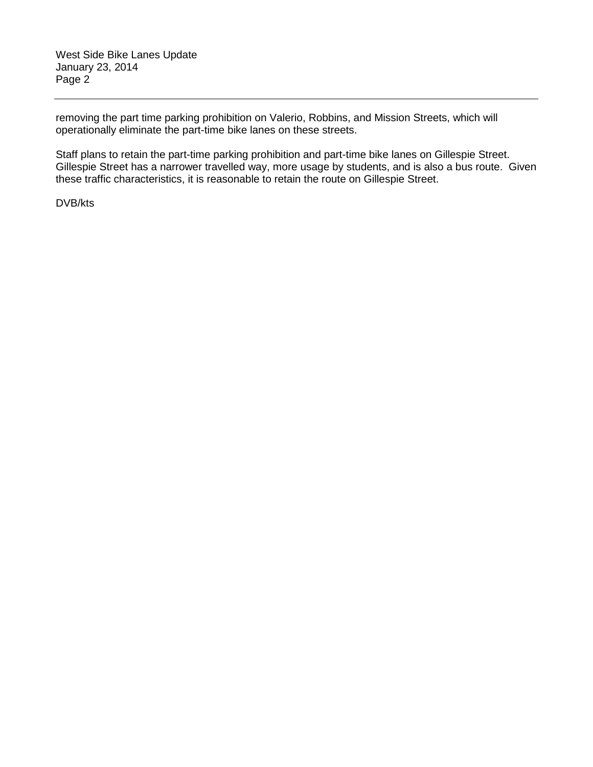removing the part time parking prohibition on Valerio, Robbins, and Mission Streets, which will operationally eliminate the part-time bike lanes on these streets.

Staff plans to retain the part-time parking prohibition and part-time bike lanes on Gillespie Street. Gillespie Street has a narrower travelled way, more usage by students, and is also a bus route. Given these traffic characteristics, it is reasonable to retain the route on Gillespie Street.

DVB/kts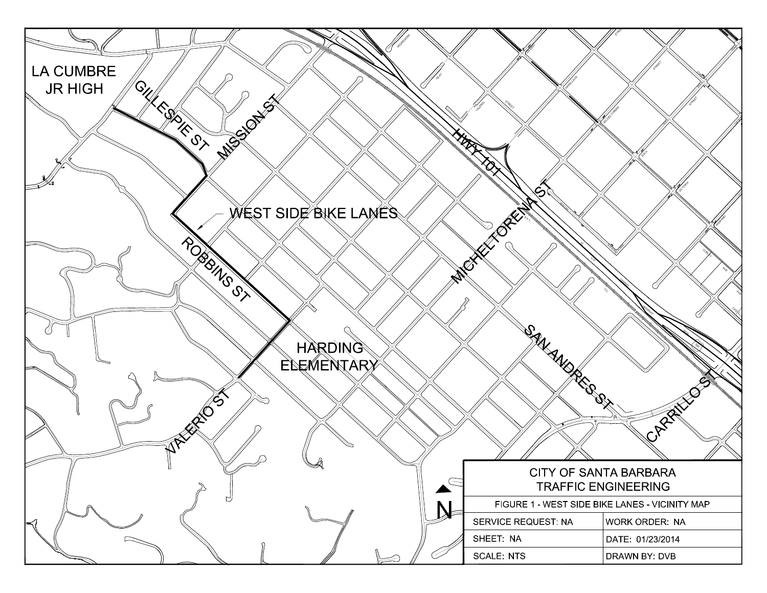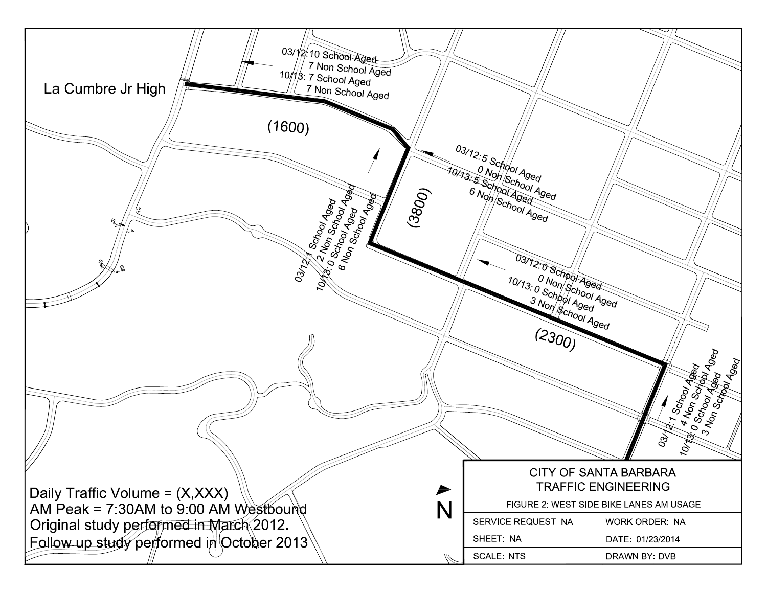